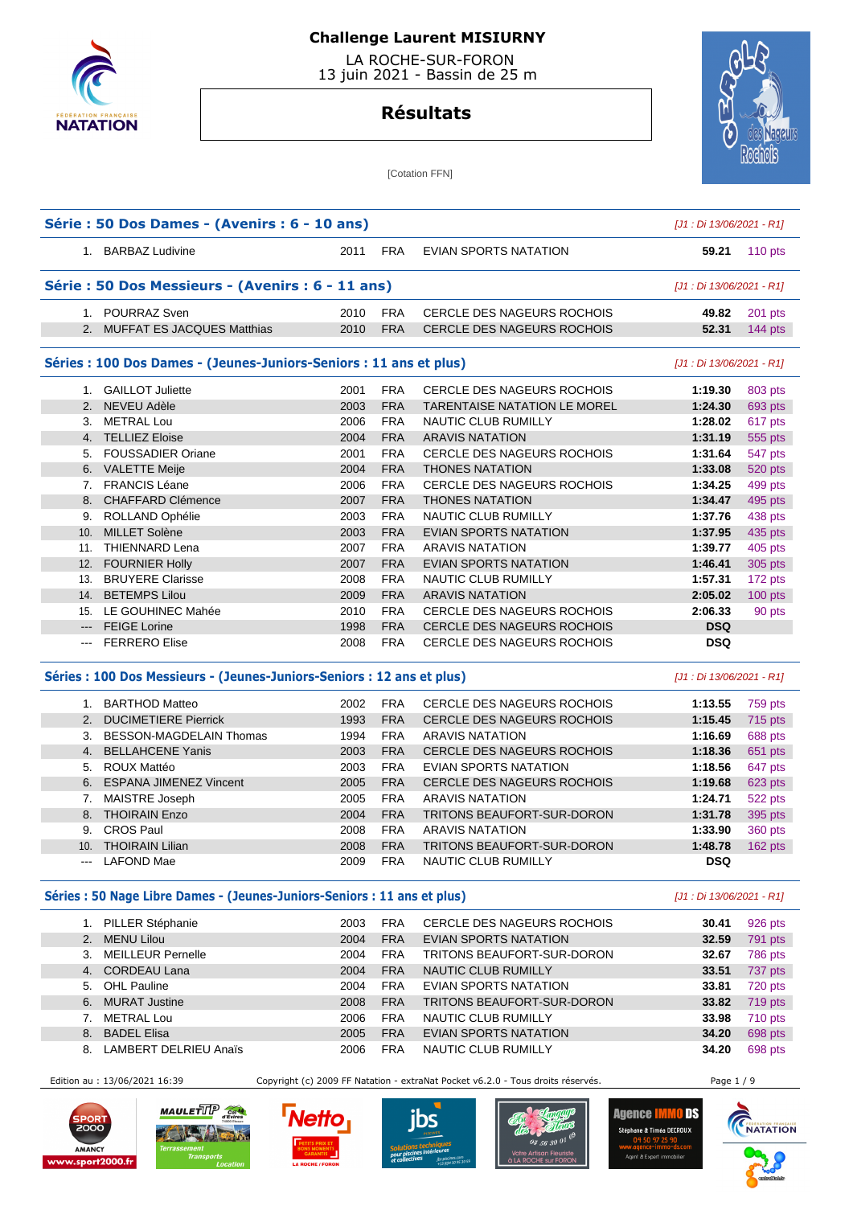

 LA ROCHE-SUR-FORON 13 juin 2021 - Bassin de 25 m

# **Résultats**



[Cotation FFN]

|     | Série : 50 Dos Dames - (Avenirs : 6 - 10 ans)                                               |      |            |                                     | [J1 : Di 13/06/2021 - R1]               |                                                                                                                                                                                                                        |
|-----|---------------------------------------------------------------------------------------------|------|------------|-------------------------------------|-----------------------------------------|------------------------------------------------------------------------------------------------------------------------------------------------------------------------------------------------------------------------|
|     | 1. BARBAZ Ludivine                                                                          | 2011 | <b>FRA</b> | <b>EVIAN SPORTS NATATION</b>        | 59.21                                   | 110 pts                                                                                                                                                                                                                |
|     | Série : 50 Dos Messieurs - (Avenirs : 6 - 11 ans)                                           |      |            |                                     | [J1 : Di 13/06/2021 - R1]               |                                                                                                                                                                                                                        |
|     | 1. POURRAZ Sven                                                                             | 2010 | <b>FRA</b> | <b>CERCLE DES NAGEURS ROCHOIS</b>   | 49.82                                   | 201 pts                                                                                                                                                                                                                |
|     | 2. MUFFAT ES JACQUES Matthias                                                               | 2010 | <b>FRA</b> | <b>CERCLE DES NAGEURS ROCHOIS</b>   | 52.31                                   | $144$ pts                                                                                                                                                                                                              |
|     | Séries : 100 Dos Dames - (Jeunes-Juniors-Seniors : 11 ans et plus)                          |      |            |                                     | [J1 : Di 13/06/2021 - R1]               |                                                                                                                                                                                                                        |
|     | 1. GAILLOT Juliette                                                                         | 2001 | <b>FRA</b> | CERCLE DES NAGEURS ROCHOIS          | 1:19.30                                 | 803 pts                                                                                                                                                                                                                |
|     | 2. NEVEU Adèle                                                                              | 2003 | <b>FRA</b> | <b>TARENTAISE NATATION LE MOREL</b> | 1:24.30                                 | 693 pts                                                                                                                                                                                                                |
| 3.  | <b>METRAL Lou</b>                                                                           | 2006 | <b>FRA</b> | NAUTIC CLUB RUMILLY                 | 1:28.02                                 | 617 pts                                                                                                                                                                                                                |
|     | 4. TELLIEZ Eloise                                                                           | 2004 | <b>FRA</b> | <b>ARAVIS NATATION</b>              | 1:31.19                                 | 555 pts                                                                                                                                                                                                                |
|     | 5. FOUSSADIER Oriane                                                                        | 2001 | <b>FRA</b> | <b>CERCLE DES NAGEURS ROCHOIS</b>   | 1:31.64                                 | 547 pts                                                                                                                                                                                                                |
|     | 6. VALETTE Meije                                                                            | 2004 | <b>FRA</b> | <b>THONES NATATION</b>              | 1:33.08                                 | 520 pts                                                                                                                                                                                                                |
|     | 7. FRANCIS Léane                                                                            | 2006 | <b>FRA</b> | <b>CERCLE DES NAGEURS ROCHOIS</b>   | 1:34.25                                 | 499 pts                                                                                                                                                                                                                |
|     | 8. CHAFFARD Clémence                                                                        | 2007 | <b>FRA</b> | <b>THONES NATATION</b>              | 1:34.47                                 | 495 pts                                                                                                                                                                                                                |
|     | 9. ROLLAND Ophélie                                                                          | 2003 | <b>FRA</b> | NAUTIC CLUB RUMILLY                 | 1:37.76                                 | 438 pts                                                                                                                                                                                                                |
|     | 10. MILLET Solène                                                                           | 2003 | <b>FRA</b> | <b>EVIAN SPORTS NATATION</b>        | 1:37.95                                 | 435 pts                                                                                                                                                                                                                |
|     | 11. THIENNARD Lena                                                                          | 2007 | <b>FRA</b> | <b>ARAVIS NATATION</b>              | 1:39.77                                 | 405 pts                                                                                                                                                                                                                |
|     | 12. FOURNIER Holly                                                                          | 2007 | <b>FRA</b> | <b>EVIAN SPORTS NATATION</b>        | 1:46.41                                 | 305 pts                                                                                                                                                                                                                |
|     | 13. BRUYERE Clarisse                                                                        | 2008 | <b>FRA</b> | NAUTIC CLUB RUMILLY                 | 1:57.31                                 | 172 pts                                                                                                                                                                                                                |
| 14. | <b>BETEMPS Lilou</b>                                                                        | 2009 | <b>FRA</b> | <b>ARAVIS NATATION</b>              | 2:05.02                                 | 100 pts                                                                                                                                                                                                                |
|     | 15. LE GOUHINEC Mahée                                                                       | 2010 | <b>FRA</b> | <b>CERCLE DES NAGEURS ROCHOIS</b>   | 2:06.33                                 | 90 pts                                                                                                                                                                                                                 |
|     | --- FEIGE Lorine                                                                            | 1998 | <b>FRA</b> | CERCLE DES NAGEURS ROCHOIS          | <b>DSQ</b>                              |                                                                                                                                                                                                                        |
|     |                                                                                             |      |            |                                     |                                         |                                                                                                                                                                                                                        |
|     | --- FERRERO Elise<br>Séries : 100 Dos Messieurs - (Jeunes-Juniors-Seniors : 12 ans et plus) | 2008 | <b>FRA</b> | <b>CERCLE DES NAGEURS ROCHOIS</b>   | <b>DSQ</b><br>[J1 : Di 13/06/2021 - R1] |                                                                                                                                                                                                                        |
|     | 1. BARTHOD Matteo                                                                           | 2002 | <b>FRA</b> | <b>CERCLE DES NAGEURS ROCHOIS</b>   | 1:13.55                                 |                                                                                                                                                                                                                        |
|     | 2. DUCIMETIERE Pierrick                                                                     | 1993 | <b>FRA</b> | <b>CERCLE DES NAGEURS ROCHOIS</b>   | 1:15.45                                 |                                                                                                                                                                                                                        |
|     | 3. BESSON-MAGDELAIN Thomas                                                                  | 1994 | <b>FRA</b> | <b>ARAVIS NATATION</b>              | 1:16.69                                 |                                                                                                                                                                                                                        |
|     | 4. BELLAHCENE Yanis                                                                         | 2003 | <b>FRA</b> | <b>CERCLE DES NAGEURS ROCHOIS</b>   | 1:18.36                                 |                                                                                                                                                                                                                        |
|     | 5. ROUX Mattéo                                                                              | 2003 | <b>FRA</b> | EVIAN SPORTS NATATION               | 1:18.56                                 |                                                                                                                                                                                                                        |
|     | 6. ESPANA JIMENEZ Vincent                                                                   | 2005 | <b>FRA</b> | <b>CERCLE DES NAGEURS ROCHOIS</b>   | 1:19.68                                 |                                                                                                                                                                                                                        |
|     | 7. MAISTRE Joseph                                                                           | 2005 | <b>FRA</b> | <b>ARAVIS NATATION</b>              | 1:24.71                                 |                                                                                                                                                                                                                        |
|     | 8. THOIRAIN Enzo                                                                            | 2004 | <b>FRA</b> | TRITONS BEAUFORT-SUR-DORON          | 1:31.78                                 |                                                                                                                                                                                                                        |
| 9.  | <b>CROS Paul</b>                                                                            | 2008 | <b>FRA</b> | <b>ARAVIS NATATION</b>              | 1:33.90                                 |                                                                                                                                                                                                                        |
|     | 10. THOIRAIN Lilian                                                                         | 2008 | <b>FRA</b> | TRITONS BEAUFORT-SUR-DORON          | 1:48.78                                 |                                                                                                                                                                                                                        |
|     | <b>LAFOND Mae</b>                                                                           | 2009 | <b>FRA</b> | NAUTIC CLUB RUMILLY                 | <b>DSQ</b>                              |                                                                                                                                                                                                                        |
|     | Séries : 50 Nage Libre Dames - (Jeunes-Juniors-Seniors : 11 ans et plus)                    |      |            |                                     | [J1 : Di 13/06/2021 - R1]               |                                                                                                                                                                                                                        |
|     | 1. PILLER Stéphanie                                                                         | 2003 | <b>FRA</b> | CERCLE DES NAGEURS ROCHOIS          | 30.41                                   |                                                                                                                                                                                                                        |
|     | 2. MENU Lilou                                                                               | 2004 | <b>FRA</b> | <b>EVIAN SPORTS NATATION</b>        | 32.59                                   |                                                                                                                                                                                                                        |
|     | 3. MEILLEUR Pernelle                                                                        | 2004 | FRA        | TRITONS BEAUFORT-SUR-DORON          | 32.67                                   |                                                                                                                                                                                                                        |
|     | 4. CORDEAU Lana                                                                             | 2004 | <b>FRA</b> | NAUTIC CLUB RUMILLY                 | 33.51                                   |                                                                                                                                                                                                                        |
|     | 5. OHL Pauline                                                                              | 2004 | <b>FRA</b> | <b>EVIAN SPORTS NATATION</b>        | 33.81                                   |                                                                                                                                                                                                                        |
|     | 6. MURAT Justine                                                                            | 2008 | <b>FRA</b> | TRITONS BEAUFORT-SUR-DORON          | 33.82                                   |                                                                                                                                                                                                                        |
| 7.  | <b>METRAL Lou</b>                                                                           | 2006 | <b>FRA</b> | NAUTIC CLUB RUMILLY                 | 33.98                                   |                                                                                                                                                                                                                        |
|     | 8. BADEL Elisa                                                                              | 2005 | <b>FRA</b> | EVIAN SPORTS NATATION               | 34.20                                   |                                                                                                                                                                                                                        |
|     | 8. LAMBERT DELRIEU Anaïs                                                                    | 2006 | <b>FRA</b> | NAUTIC CLUB RUMILLY                 | 34.20                                   | 759 pts<br>715 pts<br>688 pts<br>651 pts<br>647 pts<br>623 pts<br>522 pts<br>395 pts<br><b>360 pts</b><br>$162$ pts<br>926 pts<br>791 pts<br>786 pts<br>737 pts<br>720 pts<br>719 pts<br>710 pts<br>698 pts<br>698 pts |









ne & Timéa DECROUX

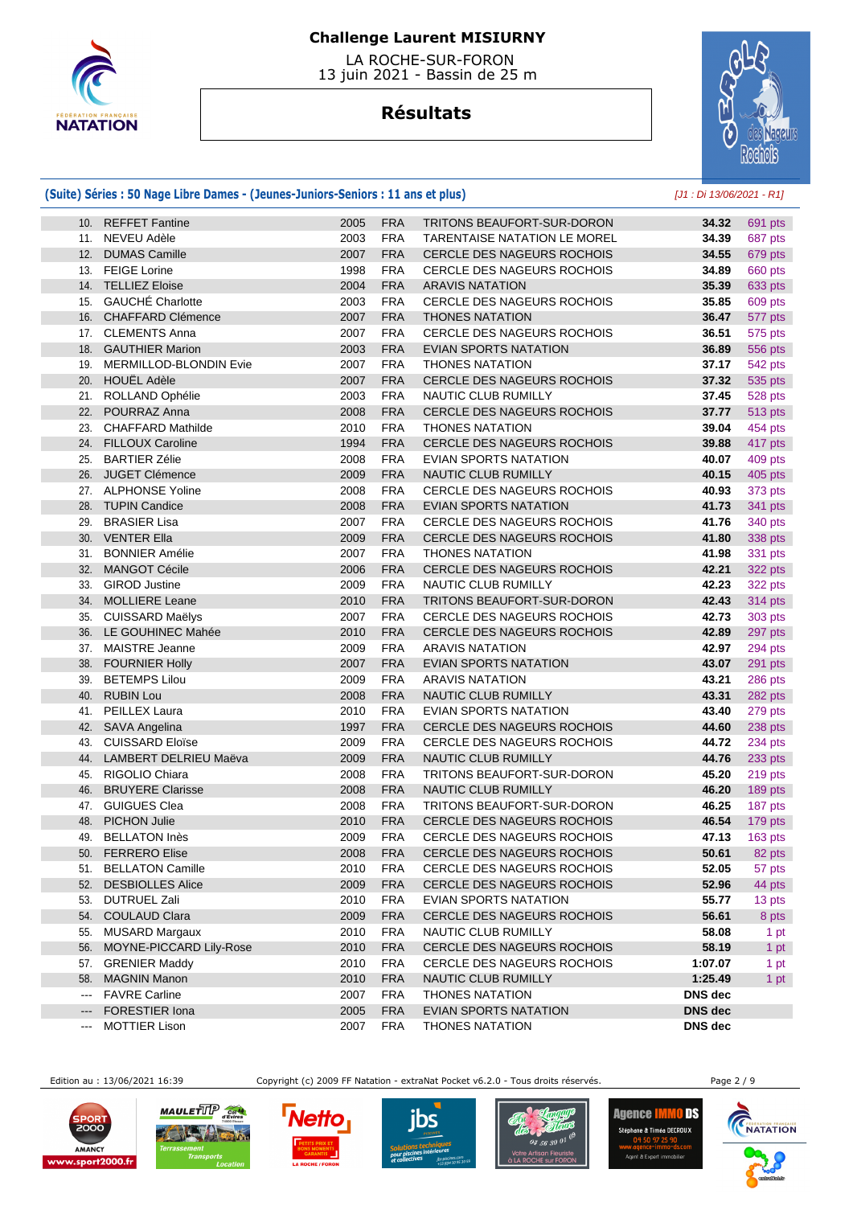

 LA ROCHE-SUR-FORON 13 juin 2021 - Bassin de 25 m

# **Résultats**



### **(Suite) Séries : 50 Nage Libre Dames - (Jeunes-Juniors-Seniors : 11 ans et plus)** [J1 : Di 13/06/2021 - R1]

|               | 10. REFFET Fantine         | 2005 | <b>FRA</b> | <b>TRITONS BEAUFORT-SUR-DORON</b>   | 34.32          | 691 pts |
|---------------|----------------------------|------|------------|-------------------------------------|----------------|---------|
|               | 11. NEVEU Adèle            | 2003 | <b>FRA</b> | <b>TARENTAISE NATATION LE MOREL</b> | 34.39          | 687 pts |
| 12.           | <b>DUMAS Camille</b>       | 2007 | <b>FRA</b> | CERCLE DES NAGEURS ROCHOIS          | 34.55          | 679 pts |
|               | 13. FEIGE Lorine           | 1998 | <b>FRA</b> | CERCLE DES NAGEURS ROCHOIS          | 34.89          | 660 pts |
|               | 14. TELLIEZ Eloise         | 2004 | <b>FRA</b> | <b>ARAVIS NATATION</b>              | 35.39          | 633 pts |
| 15.           | <b>GAUCHÉ Charlotte</b>    | 2003 | <b>FRA</b> | CERCLE DES NAGEURS ROCHOIS          | 35.85          | 609 pts |
|               | 16. CHAFFARD Clémence      | 2007 | <b>FRA</b> | <b>THONES NATATION</b>              | 36.47          | 577 pts |
|               | 17. CLEMENTS Anna          | 2007 | <b>FRA</b> | CERCLE DES NAGEURS ROCHOIS          | 36.51          | 575 pts |
|               | 18. GAUTHIER Marion        | 2003 | <b>FRA</b> | EVIAN SPORTS NATATION               | 36.89          | 556 pts |
|               | 19. MERMILLOD-BLONDIN Evie | 2007 | <b>FRA</b> | <b>THONES NATATION</b>              | 37.17          | 542 pts |
|               | 20. HOUEL Adèle            | 2007 | <b>FRA</b> | CERCLE DES NAGEURS ROCHOIS          | 37.32          | 535 pts |
|               | 21. ROLLAND Ophélie        | 2003 | <b>FRA</b> | NAUTIC CLUB RUMILLY                 | 37.45          | 528 pts |
| 22.           | POURRAZ Anna               | 2008 | <b>FRA</b> | CERCLE DES NAGEURS ROCHOIS          | 37.77          | 513 pts |
|               | 23. CHAFFARD Mathilde      | 2010 | <b>FRA</b> | <b>THONES NATATION</b>              | 39.04          | 454 pts |
|               | 24. FILLOUX Caroline       | 1994 | <b>FRA</b> | CERCLE DES NAGEURS ROCHOIS          | 39.88          | 417 pts |
|               | 25. BARTIER Zélie          | 2008 | <b>FRA</b> | EVIAN SPORTS NATATION               | 40.07          | 409 pts |
|               | 26. JUGET Clémence         | 2009 | <b>FRA</b> | NAUTIC CLUB RUMILLY                 | 40.15          | 405 pts |
|               | 27. ALPHONSE Yoline        | 2008 | <b>FRA</b> | CERCLE DES NAGEURS ROCHOIS          | 40.93          | 373 pts |
|               | 28. TUPIN Candice          | 2008 | <b>FRA</b> | <b>EVIAN SPORTS NATATION</b>        | 41.73          | 341 pts |
| 29.           | <b>BRASIER Lisa</b>        | 2007 | <b>FRA</b> | <b>CERCLE DES NAGEURS ROCHOIS</b>   | 41.76          | 340 pts |
|               | 30. VENTER Ella            | 2009 | <b>FRA</b> | CERCLE DES NAGEURS ROCHOIS          | 41.80          | 338 pts |
|               | 31. BONNIER Amélie         | 2007 | <b>FRA</b> | <b>THONES NATATION</b>              | 41.98          | 331 pts |
|               | 32. MANGOT Cécile          | 2006 | <b>FRA</b> | CERCLE DES NAGEURS ROCHOIS          | 42.21          | 322 pts |
|               | 33. GIROD Justine          | 2009 | <b>FRA</b> | NAUTIC CLUB RUMILLY                 | 42.23          | 322 pts |
|               | 34. MOLLIERE Leane         | 2010 | <b>FRA</b> | TRITONS BEAUFORT-SUR-DORON          | 42.43          | 314 pts |
|               | 35. CUISSARD Maëlys        | 2007 | <b>FRA</b> | CERCLE DES NAGEURS ROCHOIS          | 42.73          | 303 pts |
| 36.           | LE GOUHINEC Mahée          | 2010 | <b>FRA</b> | <b>CERCLE DES NAGEURS ROCHOIS</b>   | 42.89          | 297 pts |
|               | 37. MAISTRE Jeanne         | 2009 | <b>FRA</b> | <b>ARAVIS NATATION</b>              | 42.97          | 294 pts |
|               | 38. FOURNIER Holly         | 2007 | <b>FRA</b> | EVIAN SPORTS NATATION               | 43.07          | 291 pts |
|               | 39. BETEMPS Lilou          | 2009 | <b>FRA</b> | <b>ARAVIS NATATION</b>              | 43.21          | 286 pts |
| 40.           | <b>RUBIN Lou</b>           | 2008 | <b>FRA</b> | NAUTIC CLUB RUMILLY                 | 43.31          | 282 pts |
|               | 41. PEILLEX Laura          | 2010 | <b>FRA</b> | EVIAN SPORTS NATATION               | 43.40          | 279 pts |
|               | 42. SAVA Angelina          | 1997 | <b>FRA</b> | <b>CERCLE DES NAGEURS ROCHOIS</b>   | 44.60          | 238 pts |
|               | 43. CUISSARD Eloïse        | 2009 | <b>FRA</b> | CERCLE DES NAGEURS ROCHOIS          | 44.72          | 234 pts |
|               | 44. LAMBERT DELRIEU Maëva  | 2009 | <b>FRA</b> | NAUTIC CLUB RUMILLY                 | 44.76          | 233 pts |
|               | 45. RIGOLIO Chiara         | 2008 | <b>FRA</b> | TRITONS BEAUFORT-SUR-DORON          | 45.20          | 219 pts |
| 46.           | <b>BRUYERE Clarisse</b>    | 2008 | <b>FRA</b> | NAUTIC CLUB RUMILLY                 | 46.20          | 189 pts |
|               | 47. GUIGUES Clea           | 2008 | <b>FRA</b> | TRITONS BEAUFORT-SUR-DORON          | 46.25          | 187 pts |
| 48.           | <b>PICHON Julie</b>        | 2010 | <b>FRA</b> | CERCLE DES NAGEURS ROCHOIS          | 46.54          | 179 pts |
|               | 49. BELLATON Inès          | 2009 | <b>FRA</b> | CERCLE DES NAGEURS ROCHOIS          | 47.13          | 163 pts |
|               | 50. FERRERO Elise          | 2008 | <b>FRA</b> | CERCLE DES NAGEURS ROCHOIS          | 50.61          | 82 pts  |
|               | 51. BELLATON Camille       | 2010 | <b>FRA</b> | CERCLE DES NAGEURS ROCHOIS          | 52.05          | 57 pts  |
| 52.           | <b>DESBIOLLES Alice</b>    | 2009 | <b>FRA</b> | CERCLE DES NAGEURS ROCHOIS          | 52.96          | 44 pts  |
|               | 53. DUTRUEL Zali           | 2010 | <b>FRA</b> | EVIAN SPORTS NATATION               | 55.77          | 13 pts  |
| 54.           | <b>COULAUD Clara</b>       | 2009 | <b>FRA</b> | CERCLE DES NAGEURS ROCHOIS          | 56.61          | 8 pts   |
| 55.           | MUSARD Margaux             | 2010 | <b>FRA</b> | NAUTIC CLUB RUMILLY                 | 58.08          | 1 pt    |
| 56.           | MOYNE-PICCARD Lily-Rose    | 2010 | <b>FRA</b> | CERCLE DES NAGEURS ROCHOIS          | 58.19          | 1 pt    |
|               | 57. GRENIER Maddy          | 2010 | <b>FRA</b> | <b>CERCLE DES NAGEURS ROCHOIS</b>   | 1:07.07        | 1 pt    |
| 58.           | <b>MAGNIN Manon</b>        | 2010 | <b>FRA</b> | NAUTIC CLUB RUMILLY                 | 1:25.49        | 1 pt    |
| $\frac{1}{2}$ | <b>FAVRE Carline</b>       | 2007 | <b>FRA</b> | <b>THONES NATATION</b>              | DNS dec        |         |
| $---$         | <b>FORESTIER Iona</b>      | 2005 | <b>FRA</b> | EVIAN SPORTS NATATION               | <b>DNS</b> dec |         |
| ---           | <b>MOTTIER Lison</b>       | 2007 | <b>FRA</b> | <b>THONES NATATION</b>              | <b>DNS</b> dec |         |

Edition au : 13/06/2021 16:39 Copyright (c) 2009 FF Natation - extraNat Pocket v6.2.0 - Tous droits réservés. Page 2 / 9











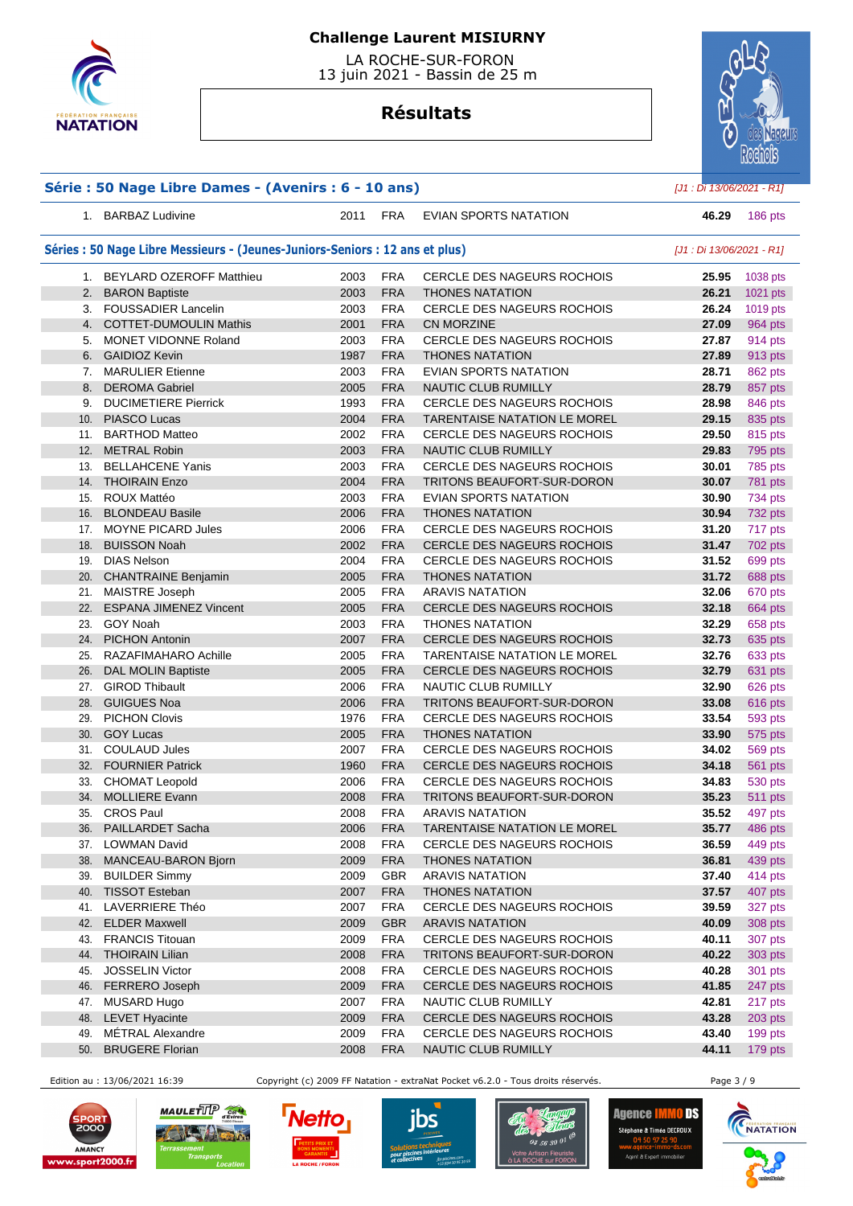

 LA ROCHE-SUR-FORON 13 juin 2021 - Bassin de 25 m

## **Résultats**



| Série : 50 Nage Libre Dames - (Avenirs : 6 - 10 ans) | $[J1:Di 13/06/2021 - R1]$                                                    |              |                          |                                                        |                           |                    |
|------------------------------------------------------|------------------------------------------------------------------------------|--------------|--------------------------|--------------------------------------------------------|---------------------------|--------------------|
|                                                      | 1. BARBAZ Ludivine                                                           | 2011         | <b>FRA</b>               | EVIAN SPORTS NATATION                                  | 46.29                     | 186 pts            |
|                                                      | Séries : 50 Nage Libre Messieurs - (Jeunes-Juniors-Seniors : 12 ans et plus) |              |                          |                                                        | [J1 : Di 13/06/2021 - R1] |                    |
|                                                      | 1. BEYLARD OZEROFF Matthieu                                                  | 2003         | <b>FRA</b>               | <b>CERCLE DES NAGEURS ROCHOIS</b>                      | 25.95                     | 1038 pts           |
|                                                      | 2. BARON Baptiste                                                            | 2003         | <b>FRA</b>               | <b>THONES NATATION</b>                                 | 26.21                     | 1021 pts           |
|                                                      | 3. FOUSSADIER Lancelin                                                       | 2003         | <b>FRA</b>               | CERCLE DES NAGEURS ROCHOIS                             | 26.24                     | 1019 pts           |
|                                                      | 4. COTTET-DUMOULIN Mathis                                                    | 2001         | <b>FRA</b>               | CN MORZINE                                             | 27.09                     | 964 pts            |
|                                                      | 5. MONET VIDONNE Roland                                                      | 2003         | <b>FRA</b>               | <b>CERCLE DES NAGEURS ROCHOIS</b>                      | 27.87                     | 914 pts            |
|                                                      | 6. GAIDIOZ Kevin                                                             | 1987         | <b>FRA</b>               | <b>THONES NATATION</b>                                 | 27.89                     | 913 pts            |
|                                                      | 7. MARULIER Etienne                                                          | 2003         | <b>FRA</b>               | EVIAN SPORTS NATATION                                  | 28.71                     | 862 pts            |
|                                                      | 8. DEROMA Gabriel                                                            | 2005         | <b>FRA</b>               | NAUTIC CLUB RUMILLY                                    | 28.79                     | 857 pts            |
|                                                      | 9. DUCIMETIERE Pierrick                                                      | 1993         | <b>FRA</b>               | <b>CERCLE DES NAGEURS ROCHOIS</b>                      | 28.98                     | 846 pts            |
|                                                      | 10. PIASCO Lucas                                                             | 2004         | <b>FRA</b>               | TARENTAISE NATATION LE MOREL                           | 29.15                     | 835 pts            |
|                                                      | 11. BARTHOD Matteo                                                           | 2002         | <b>FRA</b>               | <b>CERCLE DES NAGEURS ROCHOIS</b>                      | 29.50                     | 815 pts            |
|                                                      | 12. METRAL Robin                                                             | 2003         | <b>FRA</b>               | <b>NAUTIC CLUB RUMILLY</b>                             | 29.83                     | 795 pts            |
|                                                      | 13. BELLAHCENE Yanis                                                         | 2003         | <b>FRA</b>               | CERCLE DES NAGEURS ROCHOIS                             | 30.01                     | 785 pts            |
|                                                      | 14. THOIRAIN Enzo                                                            | 2004         | <b>FRA</b>               | TRITONS BEAUFORT-SUR-DORON                             | 30.07                     | 781 pts            |
|                                                      | 15. ROUX Mattéo                                                              | 2003         | <b>FRA</b>               | EVIAN SPORTS NATATION                                  | 30.90                     | 734 pts            |
|                                                      | 16. BLONDEAU Basile                                                          | 2006         | <b>FRA</b>               | <b>THONES NATATION</b>                                 | 30.94                     | 732 pts            |
|                                                      | 17. MOYNE PICARD Jules                                                       | 2006         | <b>FRA</b>               | <b>CERCLE DES NAGEURS ROCHOIS</b>                      | 31.20                     | 717 pts            |
| 18.                                                  | <b>BUISSON Noah</b>                                                          | 2002         | <b>FRA</b>               | CERCLE DES NAGEURS ROCHOIS                             | 31.47                     | 702 pts            |
|                                                      | 19. DIAS Nelson                                                              | 2004         | <b>FRA</b>               | CERCLE DES NAGEURS ROCHOIS                             | 31.52                     | 699 pts            |
|                                                      | 20. CHANTRAINE Benjamin                                                      | 2005         | <b>FRA</b>               | <b>THONES NATATION</b>                                 | 31.72                     | 688 pts            |
|                                                      | 21. MAISTRE Joseph                                                           | 2005         | <b>FRA</b>               | <b>ARAVIS NATATION</b>                                 | 32.06                     | 670 pts            |
|                                                      | 22. ESPANA JIMENEZ Vincent                                                   | 2005         | <b>FRA</b>               | CERCLE DES NAGEURS ROCHOIS                             | 32.18                     | 664 pts            |
|                                                      | 23. GOY Noah                                                                 | 2003         | <b>FRA</b>               | <b>THONES NATATION</b>                                 | 32.29                     | 658 pts            |
| 24.                                                  | <b>PICHON Antonin</b>                                                        | 2007         | <b>FRA</b>               | CERCLE DES NAGEURS ROCHOIS                             | 32.73                     | 635 pts            |
|                                                      | 25. RAZAFIMAHARO Achille                                                     | 2005         | <b>FRA</b>               | <b>TARENTAISE NATATION LE MOREL</b>                    | 32.76                     | 633 pts            |
|                                                      | 26. DAL MOLIN Baptiste                                                       | 2005         | <b>FRA</b>               | <b>CERCLE DES NAGEURS ROCHOIS</b>                      | 32.79                     | 631 pts            |
|                                                      | 27. GIROD Thibault                                                           | 2006         | <b>FRA</b>               | NAUTIC CLUB RUMILLY                                    | 32.90                     | 626 pts            |
|                                                      | 28. GUIGUES Noa                                                              | 2006         | <b>FRA</b>               | TRITONS BEAUFORT-SUR-DORON                             | 33.08                     | 616 pts            |
| 29.                                                  | <b>PICHON Clovis</b>                                                         | 1976         | <b>FRA</b>               | <b>CERCLE DES NAGEURS ROCHOIS</b>                      | 33.54                     | 593 pts            |
|                                                      | 30. GOY Lucas                                                                | 2005         | <b>FRA</b>               | <b>THONES NATATION</b>                                 | 33.90                     | 575 pts            |
|                                                      | 31. COULAUD Jules                                                            | 2007         | <b>FRA</b>               | CERCLE DES NAGEURS ROCHOIS                             | 34.02                     | 569 pts            |
|                                                      | 32. FOURNIER Patrick                                                         | 1960         | <b>FRA</b>               | <b>CERCLE DES NAGEURS ROCHOIS</b>                      | 34.18                     | 561 pts            |
|                                                      | 33. CHOMAT Leopold<br>34. MOLLIERE Evann                                     | 2006         | <b>FRA</b><br><b>FRA</b> | <b>CERCLE DES NAGEURS ROCHOIS</b>                      | 34.83                     | 530 pts            |
|                                                      |                                                                              | 2008         |                          | TRITONS BEAUFORT-SUR-DORON                             | 35.23                     | 511 pts            |
|                                                      | 35. CROS Paul<br>PAILLARDET Sacha                                            | 2008         | <b>FRA</b>               | <b>ARAVIS NATATION</b><br>TARENTAISE NATATION LE MOREL | 35.52                     | 497 pts            |
| 36.                                                  | <b>LOWMAN David</b>                                                          | 2006         | <b>FRA</b><br><b>FRA</b> | CERCLE DES NAGEURS ROCHOIS                             | 35.77<br>36.59            | 486 pts            |
| 37.<br>38.                                           | MANCEAU-BARON Bjorn                                                          | 2008<br>2009 | <b>FRA</b>               | <b>THONES NATATION</b>                                 | 36.81                     | 449 pts            |
| 39.                                                  | <b>BUILDER Simmy</b>                                                         | 2009         | GBR                      | <b>ARAVIS NATATION</b>                                 | 37.40                     | 439 pts<br>414 pts |
| 40.                                                  | <b>TISSOT Esteban</b>                                                        | 2007         | <b>FRA</b>               | <b>THONES NATATION</b>                                 | 37.57                     | 407 pts            |
| 41.                                                  | LAVERRIERE Théo                                                              | 2007         | <b>FRA</b>               | CERCLE DES NAGEURS ROCHOIS                             | 39.59                     | 327 pts            |
| 42.                                                  | <b>ELDER Maxwell</b>                                                         | 2009         | <b>GBR</b>               | <b>ARAVIS NATATION</b>                                 | 40.09                     | 308 pts            |
| 43.                                                  | <b>FRANCIS Titouan</b>                                                       | 2009         | <b>FRA</b>               | CERCLE DES NAGEURS ROCHOIS                             | 40.11                     | 307 pts            |
|                                                      | 44. THOIRAIN Lilian                                                          | 2008         | <b>FRA</b>               | TRITONS BEAUFORT-SUR-DORON                             | 40.22                     | 303 pts            |
| 45.                                                  | <b>JOSSELIN Victor</b>                                                       | 2008         | <b>FRA</b>               | CERCLE DES NAGEURS ROCHOIS                             | 40.28                     | 301 pts            |
| 46.                                                  | FERRERO Joseph                                                               | 2009         | <b>FRA</b>               | CERCLE DES NAGEURS ROCHOIS                             | 41.85                     | 247 pts            |
| 47.                                                  | MUSARD Hugo                                                                  | 2007         | <b>FRA</b>               | NAUTIC CLUB RUMILLY                                    | 42.81                     | 217 pts            |
| 48.                                                  | <b>LEVET Hyacinte</b>                                                        | 2009         | <b>FRA</b>               | CERCLE DES NAGEURS ROCHOIS                             | 43.28                     | 203 pts            |
| 49.                                                  | MÉTRAL Alexandre                                                             | 2009         | <b>FRA</b>               | CERCLE DES NAGEURS ROCHOIS                             | 43.40                     | 199 pts            |
| 50.                                                  | <b>BRUGERE Florian</b>                                                       | 2008         | <b>FRA</b>               | NAUTIC CLUB RUMILLY                                    | 44.11                     | 179 pts            |
|                                                      |                                                                              |              |                          |                                                        |                           |                    |

Edition au : 13/06/2021 16:39 Copyright (c) 2009 FF Natation - extraNat Pocket v6.2.0 - Tous droits réservés. Page 3 / 9











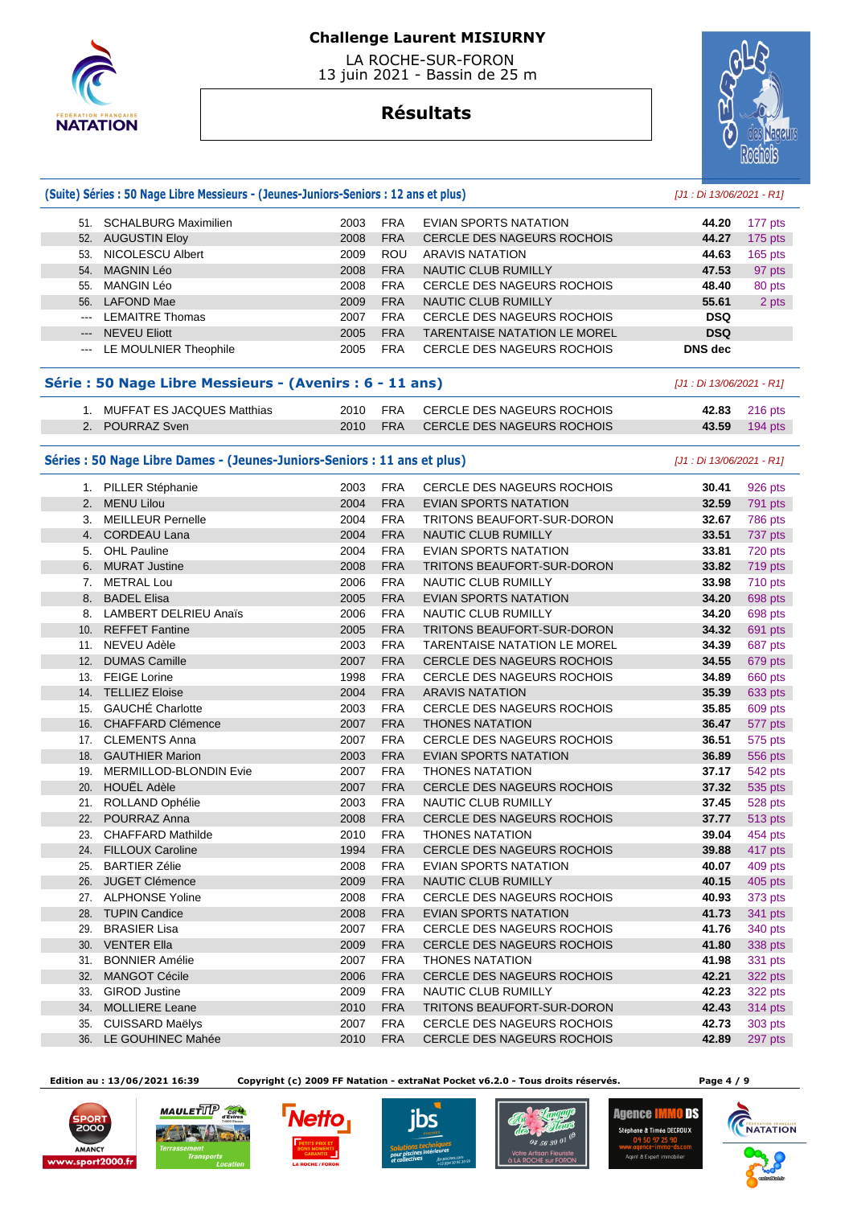

 LA ROCHE-SUR-FORON 13 juin 2021 - Bassin de 25 m

## **Résultats**



#### **(Suite) Séries : 50 Nage Libre Messieurs - (Jeunes-Juniors-Seniors : 12 ans et plus)** [J1 : Di 13/06/2021 - R1]

| 51.                                                                                            | <b>SCHALBURG Maximilien</b> | 2003 | <b>FRA</b> | EVIAN SPORTS NATATION               | 44.20          | 177 pts   |
|------------------------------------------------------------------------------------------------|-----------------------------|------|------------|-------------------------------------|----------------|-----------|
| 52.                                                                                            | <b>AUGUSTIN Eloy</b>        | 2008 | <b>FRA</b> | <b>CERCLE DES NAGEURS ROCHOIS</b>   | 44.27          | 175 pts   |
| 53.                                                                                            | NICOLESCU Albert            | 2009 | <b>ROU</b> | ARAVIS NATATION                     | 44.63          | $165$ pts |
| 54.                                                                                            | MAGNIN Léo                  | 2008 | <b>FRA</b> | NAUTIC CLUB RUMILLY                 | 47.53          | 97 pts    |
| 55.                                                                                            | MANGIN Léo                  | 2008 | <b>FRA</b> | CERCLE DES NAGEURS ROCHOIS          | 48.40          | 80 pts    |
| 56.                                                                                            | LAFOND Mae                  | 2009 | <b>FRA</b> | <b>NAUTIC CLUB RUMILLY</b>          | 55.61          | 2 pts     |
| $\cdots$                                                                                       | <b>LEMAITRE Thomas</b>      | 2007 | <b>FRA</b> | <b>CERCLE DES NAGEURS ROCHOIS</b>   | <b>DSQ</b>     |           |
| $---$                                                                                          | <b>NEVEU Eliott</b>         | 2005 | <b>FRA</b> | <b>TARENTAISE NATATION LE MOREL</b> | <b>DSQ</b>     |           |
| $\frac{1}{2} \left( \frac{1}{2} \right) \left( \frac{1}{2} \right) \left( \frac{1}{2} \right)$ | LE MOULNIER Theophile       | 2005 | <b>FRA</b> | CERCLE DES NAGEURS ROCHOIS          | <b>DNS</b> dec |           |
|                                                                                                |                             |      |            |                                     |                |           |

#### **Série : 50 Nage Libre Messieurs - (Avenirs : 6 - 11 ans)** [J1 : Di 13/06/2021 - R1]

| MUFFAT ES JACQUES Matthias | FRA<br>2010         | CERCLE DES NAGEURS ROCHOIS | $216$ pts<br>42.83 |
|----------------------------|---------------------|----------------------------|--------------------|
| POURRAZ Sven               | <b>FRA</b><br>2010. | CERCLE DES NAGEURS ROCHOIS | $194$ pts<br>43.59 |

#### Séries : 50 Nage Libre Dames - (Jeunes-Juniors-Seniors : 11 ans et plus) [J1 : Di 13/06/2021 - R1]

|                 | 1. PILLER Stéphanie          | 2003 | <b>FRA</b> | <b>CERCLE DES NAGEURS ROCHOIS</b> | 30.41 | 926 pts        |
|-----------------|------------------------------|------|------------|-----------------------------------|-------|----------------|
| 2.              | <b>MENU Lilou</b>            | 2004 | <b>FRA</b> | <b>EVIAN SPORTS NATATION</b>      | 32.59 | 791 pts        |
| 3.              | <b>MEILLEUR Pernelle</b>     | 2004 | <b>FRA</b> | <b>TRITONS BEAUFORT-SUR-DORON</b> | 32.67 | 786 pts        |
| 4.              | CORDEAU Lana                 | 2004 | <b>FRA</b> | <b>NAUTIC CLUB RUMILLY</b>        | 33.51 | 737 pts        |
| 5.              | <b>OHL Pauline</b>           | 2004 | <b>FRA</b> | <b>EVIAN SPORTS NATATION</b>      | 33.81 | 720 pts        |
| 6.              | <b>MURAT Justine</b>         | 2008 | <b>FRA</b> | TRITONS BEAUFORT-SUR-DORON        | 33.82 | 719 pts        |
| 7.              | <b>METRAL Lou</b>            | 2006 | <b>FRA</b> | <b>NAUTIC CLUB RUMILLY</b>        | 33.98 | 710 pts        |
| 8.              | <b>BADEL Elisa</b>           | 2005 | <b>FRA</b> | <b>EVIAN SPORTS NATATION</b>      | 34.20 | 698 pts        |
| 8.              | <b>LAMBERT DELRIEU Anaïs</b> | 2006 | <b>FRA</b> | NAUTIC CLUB RUMILLY               | 34.20 | 698 pts        |
| 10 <sub>1</sub> | <b>REFFET Fantine</b>        | 2005 | <b>FRA</b> | TRITONS BEAUFORT-SUR-DORON        | 34.32 | 691 pts        |
| 11.             | <b>NEVEU Adèle</b>           | 2003 | <b>FRA</b> | TARENTAISE NATATION LE MOREL      | 34.39 | 687 pts        |
| 12.             | <b>DUMAS Camille</b>         | 2007 | <b>FRA</b> | CERCLE DES NAGEURS ROCHOIS        | 34.55 | 679 pts        |
| 13.             | <b>FEIGE Lorine</b>          | 1998 | <b>FRA</b> | CERCLE DES NAGEURS ROCHOIS        | 34.89 | 660 pts        |
|                 | 14. TELLIEZ Eloise           | 2004 | <b>FRA</b> | <b>ARAVIS NATATION</b>            | 35.39 | 633 pts        |
| 15.             | GAUCHÉ Charlotte             | 2003 | <b>FRA</b> | <b>CERCLE DES NAGEURS ROCHOIS</b> | 35.85 | 609 pts        |
|                 | 16. CHAFFARD Clémence        | 2007 | <b>FRA</b> | <b>THONES NATATION</b>            | 36.47 | 577 pts        |
|                 | 17. CLEMENTS Anna            | 2007 | <b>FRA</b> | <b>CERCLE DES NAGEURS ROCHOIS</b> | 36.51 | 575 pts        |
|                 | 18. GAUTHIER Marion          | 2003 | <b>FRA</b> | <b>EVIAN SPORTS NATATION</b>      | 36.89 | <b>556 pts</b> |
| 19.             | MERMILLOD-BLONDIN Evie       | 2007 | <b>FRA</b> | <b>THONES NATATION</b>            | 37.17 | 542 pts        |
|                 | 20. HOUËL Adèle              | 2007 | <b>FRA</b> | <b>CERCLE DES NAGEURS ROCHOIS</b> | 37.32 | 535 pts        |
| 21.             | ROLLAND Ophélie              | 2003 | <b>FRA</b> | <b>NAUTIC CLUB RUMILLY</b>        | 37.45 | 528 pts        |
| 22.             | POURRAZ Anna                 | 2008 | <b>FRA</b> | <b>CERCLE DES NAGEURS ROCHOIS</b> | 37.77 | 513 pts        |
| 23.             | <b>CHAFFARD Mathilde</b>     | 2010 | <b>FRA</b> | <b>THONES NATATION</b>            | 39.04 | 454 pts        |
| 24.             | <b>FILLOUX Caroline</b>      | 1994 | <b>FRA</b> | CERCLE DES NAGEURS ROCHOIS        | 39.88 | 417 pts        |
| 25.             | <b>BARTIER Zélie</b>         | 2008 | <b>FRA</b> | <b>EVIAN SPORTS NATATION</b>      | 40.07 | 409 pts        |
| 26.             | <b>JUGET Clémence</b>        | 2009 | <b>FRA</b> | <b>NAUTIC CLUB RUMILLY</b>        | 40.15 | 405 pts        |
|                 | 27. ALPHONSE Yoline          | 2008 | <b>FRA</b> | <b>CERCLE DES NAGEURS ROCHOIS</b> | 40.93 | 373 pts        |
|                 | 28. TUPIN Candice            | 2008 | <b>FRA</b> | <b>EVIAN SPORTS NATATION</b>      | 41.73 | <b>341 pts</b> |
| 29.             | <b>BRASIER Lisa</b>          | 2007 | <b>FRA</b> | CERCLE DES NAGEURS ROCHOIS        | 41.76 | 340 pts        |
|                 | 30. VENTER Ella              | 2009 | <b>FRA</b> | <b>CERCLE DES NAGEURS ROCHOIS</b> | 41.80 | 338 pts        |
| 31.             | <b>BONNIER Amélie</b>        | 2007 | <b>FRA</b> | <b>THONES NATATION</b>            | 41.98 | 331 pts        |
| 32.             | <b>MANGOT Cécile</b>         | 2006 | <b>FRA</b> | <b>CERCLE DES NAGEURS ROCHOIS</b> | 42.21 | 322 pts        |
| 33.             | <b>GIROD Justine</b>         | 2009 | <b>FRA</b> | NAUTIC CLUB RUMILLY               | 42.23 | 322 pts        |
| 34.             | <b>MOLLIERE Leane</b>        | 2010 | <b>FRA</b> | <b>TRITONS BEAUFORT-SUR-DORON</b> | 42.43 | <b>314 pts</b> |
| 35.             | <b>CUISSARD Maëlys</b>       | 2007 | <b>FRA</b> | <b>CERCLE DES NAGEURS ROCHOIS</b> | 42.73 | 303 pts        |
|                 | 36. LE GOUHINEC Mahée        | 2010 | <b>FRA</b> | <b>CERCLE DES NAGEURS ROCHOIS</b> | 42.89 | 297 pts        |

 **Edition au : 13/06/2021 16:39 Copyright (c) 2009 FF Natation - extraNat Pocket v6.2.0 - Tous droits réservés. Page 4 / 9** 

 $str2000.6$ 









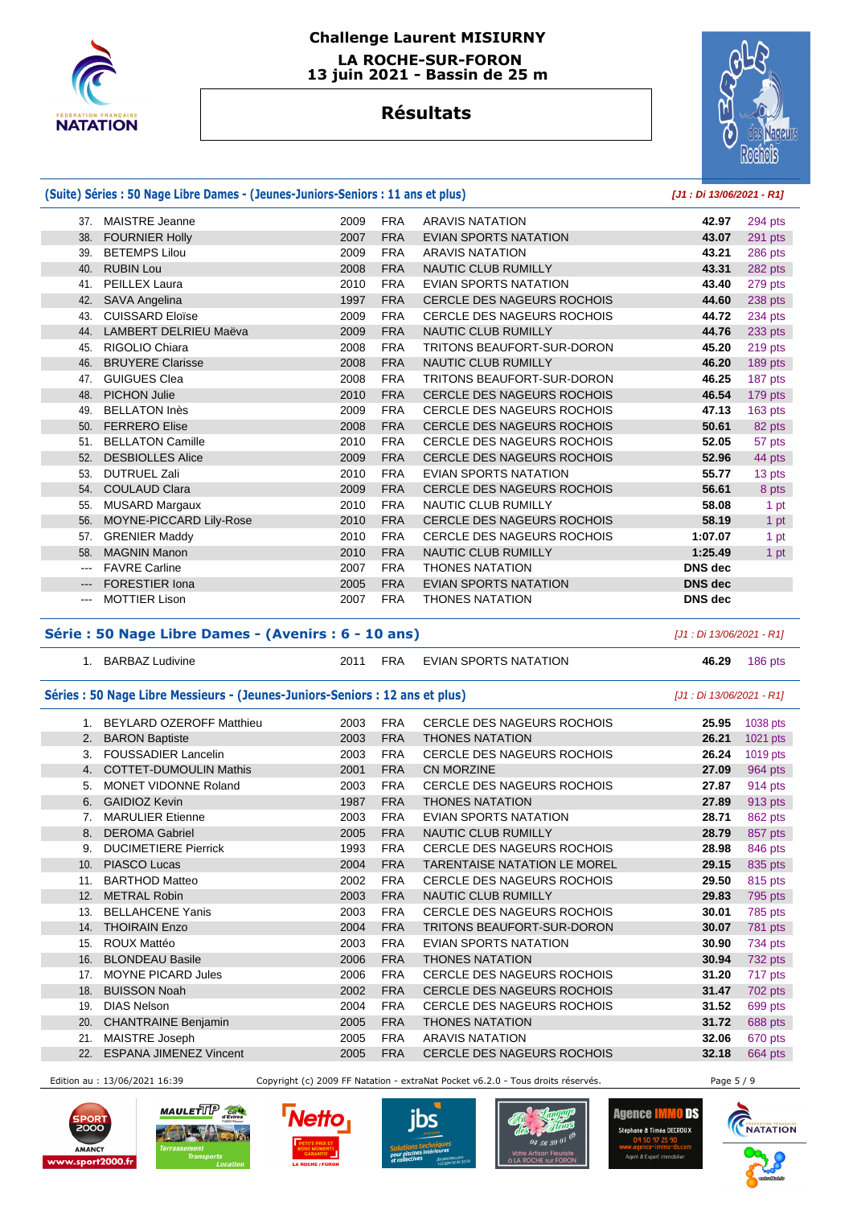

### **Challenge Laurent MISIURNY LA ROCHE-SUR-FORON**

 **13 juin 2021 - Bassin de 25 m** 

# **Résultats**



|          | (Suite) Séries : 50 Nage Libre Dames - (Jeunes-Juniors-Seniors : 11 ans et plus) |      |            |                                   |                |         |  |  |
|----------|----------------------------------------------------------------------------------|------|------------|-----------------------------------|----------------|---------|--|--|
| 37.      | <b>MAISTRE Jeanne</b>                                                            | 2009 | <b>FRA</b> | <b>ARAVIS NATATION</b>            | 42.97          | 294 pts |  |  |
| 38.      | <b>FOURNIER Holly</b>                                                            | 2007 | <b>FRA</b> | <b>EVIAN SPORTS NATATION</b>      | 43.07          | 291 pts |  |  |
| 39.      | <b>BETEMPS Lilou</b>                                                             | 2009 | <b>FRA</b> | <b>ARAVIS NATATION</b>            | 43.21          | 286 pts |  |  |
| 40.      | <b>RUBIN Lou</b>                                                                 | 2008 | <b>FRA</b> | <b>NAUTIC CLUB RUMILLY</b>        | 43.31          | 282 pts |  |  |
| 41.      | <b>PEILLEX Laura</b>                                                             | 2010 | <b>FRA</b> | <b>EVIAN SPORTS NATATION</b>      | 43.40          | 279 pts |  |  |
| 42.      | <b>SAVA Angelina</b>                                                             | 1997 | <b>FRA</b> | <b>CERCLE DES NAGEURS ROCHOIS</b> | 44.60          | 238 pts |  |  |
| 43.      | <b>CUISSARD Eloïse</b>                                                           | 2009 | <b>FRA</b> | <b>CERCLE DES NAGEURS ROCHOIS</b> | 44.72          | 234 pts |  |  |
| 44.      | LAMBERT DELRIEU Maëva                                                            | 2009 | <b>FRA</b> | NAUTIC CLUB RUMILLY               | 44.76          | 233 pts |  |  |
| 45.      | RIGOLIO Chiara                                                                   | 2008 | <b>FRA</b> | <b>TRITONS BEAUFORT-SUR-DORON</b> | 45.20          | 219 pts |  |  |
| 46.      | <b>BRUYERE Clarisse</b>                                                          | 2008 | <b>FRA</b> | <b>NAUTIC CLUB RUMILLY</b>        | 46.20          | 189 pts |  |  |
| 47.      | <b>GUIGUES Clea</b>                                                              | 2008 | <b>FRA</b> | <b>TRITONS BEAUFORT-SUR-DORON</b> | 46.25          | 187 pts |  |  |
| 48.      | <b>PICHON Julie</b>                                                              | 2010 | <b>FRA</b> | <b>CERCLE DES NAGEURS ROCHOIS</b> | 46.54          | 179 pts |  |  |
| 49.      | <b>BELLATON Inès</b>                                                             | 2009 | <b>FRA</b> | <b>CERCLE DES NAGEURS ROCHOIS</b> | 47.13          | 163 pts |  |  |
| 50.      | <b>FERRERO Elise</b>                                                             | 2008 | <b>FRA</b> | <b>CERCLE DES NAGEURS ROCHOIS</b> | 50.61          | 82 pts  |  |  |
| 51.      | <b>BELLATON Camille</b>                                                          | 2010 | <b>FRA</b> | <b>CERCLE DES NAGEURS ROCHOIS</b> | 52.05          | 57 pts  |  |  |
| 52.      | <b>DESBIOLLES Alice</b>                                                          | 2009 | <b>FRA</b> | <b>CERCLE DES NAGEURS ROCHOIS</b> | 52.96          | 44 pts  |  |  |
| 53.      | <b>DUTRUEL Zali</b>                                                              | 2010 | <b>FRA</b> | <b>EVIAN SPORTS NATATION</b>      | 55.77          | 13 pts  |  |  |
| 54.      | <b>COULAUD Clara</b>                                                             | 2009 | <b>FRA</b> | <b>CERCLE DES NAGEURS ROCHOIS</b> | 56.61          | 8 pts   |  |  |
| 55.      | <b>MUSARD Margaux</b>                                                            | 2010 | <b>FRA</b> | NAUTIC CLUB RUMILLY               | 58.08          | 1 pt    |  |  |
| 56.      | MOYNE-PICCARD Lily-Rose                                                          | 2010 | <b>FRA</b> | <b>CERCLE DES NAGEURS ROCHOIS</b> | 58.19          | 1 pt    |  |  |
| 57.      | <b>GRENIER Maddy</b>                                                             | 2010 | <b>FRA</b> | <b>CERCLE DES NAGEURS ROCHOIS</b> | 1:07.07        | 1 pt    |  |  |
| 58.      | <b>MAGNIN Manon</b>                                                              | 2010 | <b>FRA</b> | <b>NAUTIC CLUB RUMILLY</b>        | 1:25.49        | 1 pt    |  |  |
| $\cdots$ | <b>FAVRE Carline</b>                                                             | 2007 | <b>FRA</b> | <b>THONES NATATION</b>            | <b>DNS</b> dec |         |  |  |
| $---$    | <b>FORESTIER Iona</b>                                                            | 2005 | <b>FRA</b> | <b>EVIAN SPORTS NATATION</b>      | <b>DNS</b> dec |         |  |  |
| $\cdots$ | <b>MOTTIER Lison</b>                                                             | 2007 | <b>FRA</b> | <b>THONES NATATION</b>            | <b>DNS</b> dec |         |  |  |

#### **Série : 50 Nage Libre Dames - (Avenirs : 6 - 10 ans)** [J1 : Di 13/06/2021 - R1]

|     | 1. BARBAZ Ludivine                                                           | 2011 | <b>FRA</b>                | EVIAN SPORTS NATATION               | 46.29 | 186 pts  |
|-----|------------------------------------------------------------------------------|------|---------------------------|-------------------------------------|-------|----------|
|     | Séries : 50 Nage Libre Messieurs - (Jeunes-Juniors-Seniors : 12 ans et plus) |      | [J1 : Di 13/06/2021 - R1] |                                     |       |          |
|     | 1. BEYLARD OZEROFF Matthieu                                                  | 2003 | <b>FRA</b>                | <b>CERCLE DES NAGEURS ROCHOIS</b>   | 25.95 | 1038 pts |
|     | 2. BARON Baptiste                                                            | 2003 | <b>FRA</b>                | <b>THONES NATATION</b>              | 26.21 | 1021 pts |
| 3.  | <b>FOUSSADIER Lancelin</b>                                                   | 2003 | <b>FRA</b>                | CERCLE DES NAGEURS ROCHOIS          | 26.24 | 1019 pts |
|     | 4. COTTET-DUMOULIN Mathis                                                    | 2001 | <b>FRA</b>                | <b>CN MORZINE</b>                   | 27.09 | 964 pts  |
| 5.  | MONET VIDONNE Roland                                                         | 2003 | <b>FRA</b>                | CERCLE DES NAGEURS ROCHOIS          | 27.87 | 914 pts  |
| 6.  | <b>GAIDIOZ Kevin</b>                                                         | 1987 | <b>FRA</b>                | <b>THONES NATATION</b>              | 27.89 | 913 pts  |
| 7.  | <b>MARULIER Etienne</b>                                                      | 2003 | <b>FRA</b>                | <b>EVIAN SPORTS NATATION</b>        | 28.71 | 862 pts  |
| 8.  | <b>DEROMA Gabriel</b>                                                        | 2005 | <b>FRA</b>                | <b>NAUTIC CLUB RUMILLY</b>          | 28.79 | 857 pts  |
| 9.  | <b>DUCIMETIERE Pierrick</b>                                                  | 1993 | <b>FRA</b>                | CERCLE DES NAGEURS ROCHOIS          | 28.98 | 846 pts  |
| 10. | <b>PIASCO Lucas</b>                                                          | 2004 | <b>FRA</b>                | <b>TARENTAISE NATATION LE MOREL</b> | 29.15 | 835 pts  |
| 11. | <b>BARTHOD Matteo</b>                                                        | 2002 | <b>FRA</b>                | CERCLE DES NAGEURS ROCHOIS          | 29.50 | 815 pts  |
| 12. | <b>METRAL Robin</b>                                                          | 2003 | <b>FRA</b>                | NAUTIC CLUB RUMILLY                 | 29.83 | 795 pts  |
| 13. | <b>BELLAHCENE Yanis</b>                                                      | 2003 | <b>FRA</b>                | <b>CERCLE DES NAGEURS ROCHOIS</b>   | 30.01 | 785 pts  |
| 14. | <b>THOIRAIN Enzo</b>                                                         | 2004 | <b>FRA</b>                | <b>TRITONS BEAUFORT-SUR-DORON</b>   | 30.07 | 781 pts  |
| 15. | ROUX Mattéo                                                                  | 2003 | <b>FRA</b>                | EVIAN SPORTS NATATION               | 30.90 | 734 pts  |
| 16. | <b>BLONDEAU Basile</b>                                                       | 2006 | <b>FRA</b>                | <b>THONES NATATION</b>              | 30.94 | 732 pts  |
| 17. | <b>MOYNE PICARD Jules</b>                                                    | 2006 | <b>FRA</b>                | CERCLE DES NAGEURS ROCHOIS          | 31.20 | 717 pts  |
| 18. | <b>BUISSON Noah</b>                                                          | 2002 | <b>FRA</b>                | <b>CERCLE DES NAGEURS ROCHOIS</b>   | 31.47 | 702 pts  |
| 19. | <b>DIAS Nelson</b>                                                           | 2004 | <b>FRA</b>                | <b>CERCLE DES NAGEURS ROCHOIS</b>   | 31.52 | 699 pts  |
| 20. | <b>CHANTRAINE Benjamin</b>                                                   | 2005 | <b>FRA</b>                | <b>THONES NATATION</b>              | 31.72 | 688 pts  |
| 21. | MAISTRE Joseph                                                               | 2005 | <b>FRA</b>                | <b>ARAVIS NATATION</b>              | 32.06 | 670 pts  |
| 22. | <b>ESPANA JIMENEZ Vincent</b>                                                | 2005 | <b>FRA</b>                | <b>CERCLE DES NAGEURS ROCHOIS</b>   | 32.18 | 664 pts  |

Edition au : 13/06/2021 16:39 Copyright (c) 2009 FF Natation - extraNat Pocket v6.2.0 - Tous droits réservés. Page 5 / 9











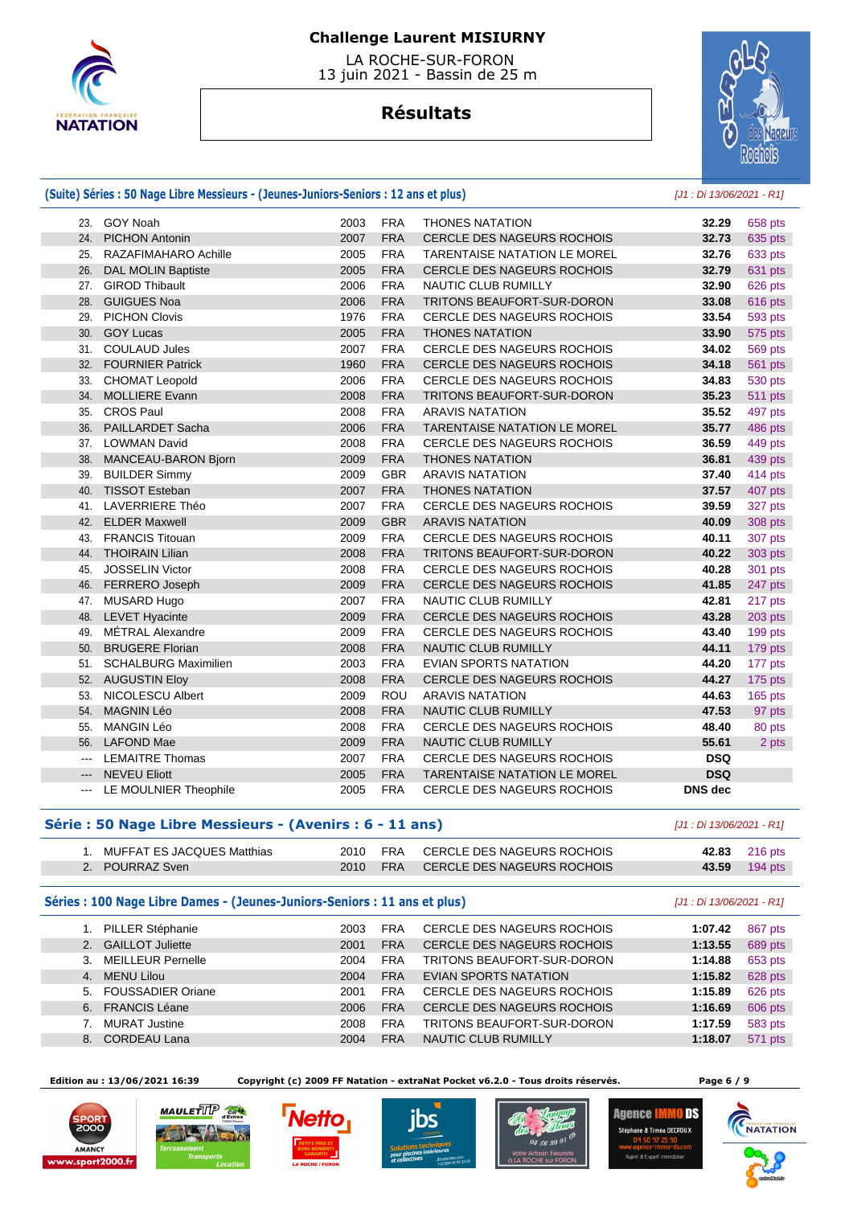

 LA ROCHE-SUR-FORON 13 juin 2021 - Bassin de 25 m

## **Résultats**



#### **(Suite) Séries : 50 Nage Libre Messieurs - (Jeunes-Juniors-Seniors : 12 ans et plus)** [J1 : Di 13/06/2021 - R1]

|        | 23. GOY Noah                | 2003 | <b>FRA</b> | <b>THONES NATATION</b>              | 32.29          | 658 pts        |
|--------|-----------------------------|------|------------|-------------------------------------|----------------|----------------|
| 24.    | <b>PICHON Antonin</b>       | 2007 | <b>FRA</b> | <b>CERCLE DES NAGEURS ROCHOIS</b>   | 32.73          | 635 pts        |
| 25.    | RAZAFIMAHARO Achille        | 2005 | <b>FRA</b> | TARENTAISE NATATION LE MOREL        | 32.76          | 633 pts        |
| 26.    | <b>DAL MOLIN Baptiste</b>   | 2005 | <b>FRA</b> | CERCLE DES NAGEURS ROCHOIS          | 32.79          | 631 pts        |
| 27.    | <b>GIROD Thibault</b>       | 2006 | <b>FRA</b> | NAUTIC CLUB RUMILLY                 | 32.90          | 626 pts        |
| 28.    | <b>GUIGUES Noa</b>          | 2006 | <b>FRA</b> | TRITONS BEAUFORT-SUR-DORON          | 33.08          | 616 pts        |
| 29.    | <b>PICHON Clovis</b>        | 1976 | <b>FRA</b> | CERCLE DES NAGEURS ROCHOIS          | 33.54          | 593 pts        |
| 30.    | <b>GOY Lucas</b>            | 2005 | <b>FRA</b> | <b>THONES NATATION</b>              | 33.90          | 575 pts        |
| 31.    | <b>COULAUD Jules</b>        | 2007 | <b>FRA</b> | CERCLE DES NAGEURS ROCHOIS          | 34.02          | <b>569 pts</b> |
| 32.    | <b>FOURNIER Patrick</b>     | 1960 | <b>FRA</b> | CERCLE DES NAGEURS ROCHOIS          | 34.18          | <b>561 pts</b> |
| 33.    | <b>CHOMAT Leopold</b>       | 2006 | <b>FRA</b> | CERCLE DES NAGEURS ROCHOIS          | 34.83          | 530 pts        |
| 34.    | <b>MOLLIERE Evann</b>       | 2008 | <b>FRA</b> | TRITONS BEAUFORT-SUR-DORON          | 35.23          | <b>511 pts</b> |
| 35.    | <b>CROS Paul</b>            | 2008 | <b>FRA</b> | <b>ARAVIS NATATION</b>              | 35.52          | 497 pts        |
| 36.    | <b>PAILLARDET Sacha</b>     | 2006 | <b>FRA</b> | <b>TARENTAISE NATATION LE MOREL</b> | 35.77          | 486 pts        |
|        | 37. LOWMAN David            | 2008 | <b>FRA</b> | <b>CERCLE DES NAGEURS ROCHOIS</b>   | 36.59          | 449 pts        |
| 38.    | MANCEAU-BARON Bjorn         | 2009 | <b>FRA</b> | <b>THONES NATATION</b>              | 36.81          | 439 pts        |
| 39.    | <b>BUILDER Simmy</b>        | 2009 | <b>GBR</b> | <b>ARAVIS NATATION</b>              | 37.40          | 414 pts        |
| 40.    | <b>TISSOT Esteban</b>       | 2007 | <b>FRA</b> | <b>THONES NATATION</b>              | 37.57          | 407 pts        |
| 41.    | LAVERRIERE Théo             | 2007 | <b>FRA</b> | CERCLE DES NAGEURS ROCHOIS          | 39.59          | 327 pts        |
|        | 42. ELDER Maxwell           | 2009 | <b>GBR</b> | <b>ARAVIS NATATION</b>              | 40.09          | 308 pts        |
| 43.    | <b>FRANCIS Titouan</b>      | 2009 | <b>FRA</b> | <b>CERCLE DES NAGEURS ROCHOIS</b>   | 40.11          | 307 pts        |
| 44.    | <b>THOIRAIN Lilian</b>      | 2008 | <b>FRA</b> | TRITONS BEAUFORT-SUR-DORON          | 40.22          | 303 pts        |
| 45.    | <b>JOSSELIN Victor</b>      | 2008 | <b>FRA</b> | <b>CERCLE DES NAGEURS ROCHOIS</b>   | 40.28          | 301 pts        |
|        | 46. FERRERO Joseph          | 2009 | <b>FRA</b> | CERCLE DES NAGEURS ROCHOIS          | 41.85          | 247 pts        |
|        | 47. MUSARD Hugo             | 2007 | <b>FRA</b> | <b>NAUTIC CLUB RUMILLY</b>          | 42.81          | 217 pts        |
|        | 48. LEVET Hyacinte          | 2009 | <b>FRA</b> | CERCLE DES NAGEURS ROCHOIS          | 43.28          | 203 pts        |
| 49.    | MÉTRAL Alexandre            | 2009 | <b>FRA</b> | <b>CERCLE DES NAGEURS ROCHOIS</b>   | 43.40          | 199 pts        |
|        | 50. BRUGERE Florian         | 2008 | <b>FRA</b> | NAUTIC CLUB RUMILLY                 | 44.11          | 179 pts        |
| 51.    | <b>SCHALBURG Maximilien</b> | 2003 | <b>FRA</b> | <b>EVIAN SPORTS NATATION</b>        | 44.20          | 177 pts        |
|        | 52. AUGUSTIN Eloy           | 2008 | <b>FRA</b> | CERCLE DES NAGEURS ROCHOIS          | 44.27          | 175 pts        |
| 53.    | <b>NICOLESCU Albert</b>     | 2009 | <b>ROU</b> | <b>ARAVIS NATATION</b>              | 44.63          | 165 pts        |
|        | 54. MAGNIN Léo              | 2008 | <b>FRA</b> | NAUTIC CLUB RUMILLY                 | 47.53          | 97 pts         |
| 55.    | <b>MANGIN Léo</b>           | 2008 | <b>FRA</b> | <b>CERCLE DES NAGEURS ROCHOIS</b>   | 48.40          | 80 pts         |
|        | 56. LAFOND Mae              | 2009 | <b>FRA</b> | NAUTIC CLUB RUMILLY                 | 55.61          | 2 pts          |
| $\sim$ | <b>LEMAITRE Thomas</b>      | 2007 | <b>FRA</b> | <b>CERCLE DES NAGEURS ROCHOIS</b>   | <b>DSQ</b>     |                |
| $---$  | <b>NEVEU Eliott</b>         | 2005 | <b>FRA</b> | TARENTAISE NATATION LE MOREL        | <b>DSQ</b>     |                |
|        | --- LE MOULNIER Theophile   | 2005 | <b>FRA</b> | <b>CERCLE DES NAGEURS ROCHOIS</b>   | <b>DNS</b> dec |                |

#### **Série : 50 Nage Libre Messieurs - (Avenirs : 6 - 11 ans)** [J1 : Di 13/06/2021 - R1]

| MUFFAT ES JACQUES Matthias | 2010 | FRA        | CERCLE DES NAGEURS ROCHOIS |       | 42.83 216 pts |
|----------------------------|------|------------|----------------------------|-------|---------------|
| POURRAZ Sven               | 2010 | <b>FRA</b> | CERCLE DES NAGEURS ROCHOIS | 43.59 | $194$ pts     |

#### Séries : 100 Nage Libre Dames - (Jeunes-Juniors-Seniors : 11 ans et plus) [J1 : Di 13/06/2021 - R1]

|    | <b>PILLER Stéphanie</b>  | 2003 | <b>FRA</b> | <b>CERCLE DES NAGEURS ROCHOIS</b> | 1:07.42 | 867 pts |
|----|--------------------------|------|------------|-----------------------------------|---------|---------|
|    | 2. GAILLOT Juliette      | 2001 | <b>FRA</b> | CERCLE DES NAGEURS ROCHOIS        | 1:13.55 | 689 pts |
| 3. | <b>MEILLEUR Pernelle</b> | 2004 | <b>FRA</b> | TRITONS BEAUFORT-SUR-DORON        | 1:14.88 | 653 pts |
| 4. | <b>MENU Lilou</b>        | 2004 | <b>FRA</b> | EVIAN SPORTS NATATION             | 1:15.82 | 628 pts |
| 5. | <b>FOUSSADIER Oriane</b> | 2001 | <b>FRA</b> | <b>CERCLE DES NAGEURS ROCHOIS</b> | 1:15.89 | 626 pts |
| 6. | <b>FRANCIS Léane</b>     | 2006 | <b>FRA</b> | CERCLE DES NAGEURS ROCHOIS        | 1:16.69 | 606 pts |
|    | <b>MURAT Justine</b>     | 2008 | <b>FRA</b> | TRITONS BEAUFORT-SUR-DORON        | 1:17.59 | 583 pts |
| 8. | <b>CORDEAU Lana</b>      | 2004 | <b>FRA</b> | NAUTIC CLUB RUMILLY               | 1:18.07 | 571 pts |
|    |                          |      |            |                                   |         |         |

 **Edition au : 13/06/2021 16:39 Copyright (c) 2009 FF Natation - extraNat Pocket v6.2.0 - Tous droits réservés. Page 6 / 9** 



 $\mathbb{R}^n$ 









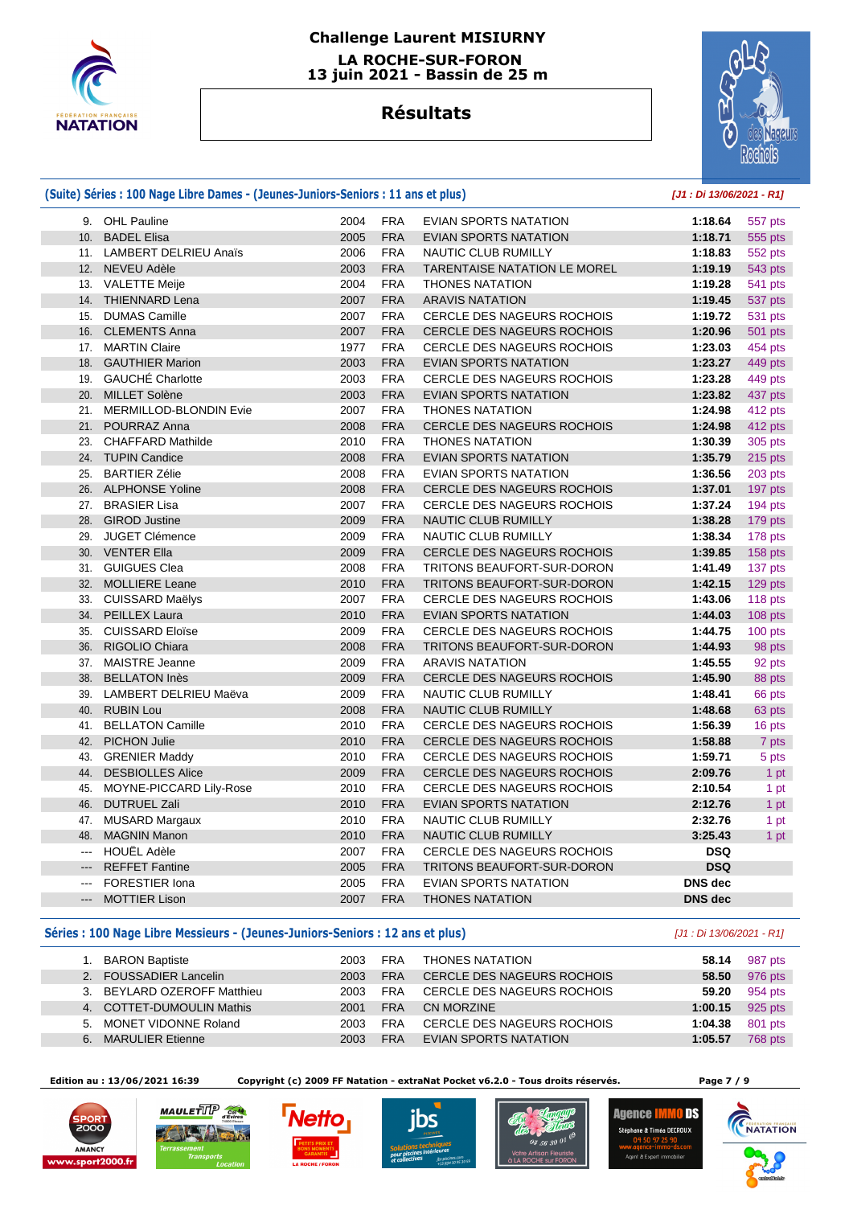

# **Challenge Laurent MISIURNY LA ROCHE-SUR-FORON**

 **13 juin 2021 - Bassin de 25 m** 

# **Résultats**



|                     | (Suite) Séries : 100 Nage Libre Dames - (Jeunes-Juniors-Seniors : 11 ans et plus) | [J1 : Di 13/06/2021 - R1] |            |                                   |                |                |
|---------------------|-----------------------------------------------------------------------------------|---------------------------|------------|-----------------------------------|----------------|----------------|
|                     | 9. OHL Pauline                                                                    | 2004                      | <b>FRA</b> | EVIAN SPORTS NATATION             | 1:18.64        | 557 pts        |
| 10.                 | <b>BADEL Elisa</b>                                                                | 2005                      | <b>FRA</b> | <b>EVIAN SPORTS NATATION</b>      | 1:18.71        | 555 pts        |
|                     | 11. LAMBERT DELRIEU Anaïs                                                         | 2006                      | <b>FRA</b> | NAUTIC CLUB RUMILLY               | 1:18.83        | 552 pts        |
| 12.                 | NEVEU Adèle                                                                       | 2003                      | <b>FRA</b> | TARENTAISE NATATION LE MOREL      | 1:19.19        | 543 pts        |
|                     | 13. VALETTE Meije                                                                 | 2004                      | <b>FRA</b> | <b>THONES NATATION</b>            | 1:19.28        | <b>541 pts</b> |
|                     | 14. THIENNARD Lena                                                                | 2007                      | <b>FRA</b> | <b>ARAVIS NATATION</b>            | 1:19.45        | 537 pts        |
| 15.                 | <b>DUMAS Camille</b>                                                              | 2007                      | <b>FRA</b> | <b>CERCLE DES NAGEURS ROCHOIS</b> | 1:19.72        | 531 pts        |
| 16.                 | <b>CLEMENTS Anna</b>                                                              | 2007                      | <b>FRA</b> | <b>CERCLE DES NAGEURS ROCHOIS</b> | 1:20.96        | 501 pts        |
|                     | 17. MARTIN Claire                                                                 | 1977                      | <b>FRA</b> | <b>CERCLE DES NAGEURS ROCHOIS</b> | 1:23.03        | 454 pts        |
| 18.                 | <b>GAUTHIER Marion</b>                                                            | 2003                      | <b>FRA</b> | EVIAN SPORTS NATATION             | 1:23.27        | 449 pts        |
|                     | 19. GAUCHÉ Charlotte                                                              | 2003                      | <b>FRA</b> | <b>CERCLE DES NAGEURS ROCHOIS</b> | 1:23.28        | 449 pts        |
| 20.                 | <b>MILLET Solène</b>                                                              | 2003                      | <b>FRA</b> | EVIAN SPORTS NATATION             | 1:23.82        | 437 pts        |
|                     | 21. MERMILLOD-BLONDIN Evie                                                        | 2007                      | <b>FRA</b> | <b>THONES NATATION</b>            | 1:24.98        | 412 pts        |
| 21.                 | POURRAZ Anna                                                                      | 2008                      | <b>FRA</b> | <b>CERCLE DES NAGEURS ROCHOIS</b> | 1:24.98        | 412 pts        |
| 23.                 | <b>CHAFFARD Mathilde</b>                                                          | 2010                      | <b>FRA</b> | <b>THONES NATATION</b>            | 1:30.39        | 305 pts        |
|                     | 24. TUPIN Candice                                                                 | 2008                      | <b>FRA</b> | <b>EVIAN SPORTS NATATION</b>      | 1:35.79        | 215 pts        |
| 25.                 | <b>BARTIER Zélie</b>                                                              | 2008                      | <b>FRA</b> | <b>EVIAN SPORTS NATATION</b>      | 1:36.56        | 203 pts        |
| 26.                 | <b>ALPHONSE Yoline</b>                                                            | 2008                      | <b>FRA</b> | <b>CERCLE DES NAGEURS ROCHOIS</b> | 1:37.01        | 197 pts        |
|                     | 27. BRASIER Lisa                                                                  | 2007                      | <b>FRA</b> | <b>CERCLE DES NAGEURS ROCHOIS</b> | 1:37.24        | 194 pts        |
| 28.                 | <b>GIROD Justine</b>                                                              | 2009                      | <b>FRA</b> | NAUTIC CLUB RUMILLY               | 1:38.28        | 179 pts        |
| 29.                 | <b>JUGET Clémence</b>                                                             | 2009                      | <b>FRA</b> | NAUTIC CLUB RUMILLY               | 1:38.34        | 178 pts        |
| 30.                 | <b>VENTER Ella</b>                                                                | 2009                      | <b>FRA</b> | <b>CERCLE DES NAGEURS ROCHOIS</b> | 1:39.85        | 158 pts        |
| 31.                 | <b>GUIGUES Clea</b>                                                               | 2008                      | <b>FRA</b> | TRITONS BEAUFORT-SUR-DORON        | 1:41.49        | 137 pts        |
| 32.                 | <b>MOLLIERE Leane</b>                                                             | 2010                      | <b>FRA</b> | TRITONS BEAUFORT-SUR-DORON        | 1:42.15        | 129 pts        |
|                     | 33. CUISSARD Maëlys                                                               | 2007                      | <b>FRA</b> | <b>CERCLE DES NAGEURS ROCHOIS</b> | 1:43.06        | 118 pts        |
| 34.                 | PEILLEX Laura                                                                     | 2010                      | <b>FRA</b> | <b>EVIAN SPORTS NATATION</b>      | 1:44.03        | 108 pts        |
| 35.                 | <b>CUISSARD Eloïse</b>                                                            | 2009                      | <b>FRA</b> | <b>CERCLE DES NAGEURS ROCHOIS</b> | 1:44.75        | 100 pts        |
| 36.                 | RIGOLIO Chiara                                                                    | 2008                      | <b>FRA</b> | TRITONS BEAUFORT-SUR-DORON        | 1:44.93        | 98 pts         |
|                     | 37. MAISTRE Jeanne                                                                | 2009                      | <b>FRA</b> | <b>ARAVIS NATATION</b>            | 1:45.55        | 92 pts         |
| 38.                 | <b>BELLATON Inès</b>                                                              | 2009                      | <b>FRA</b> | CERCLE DES NAGEURS ROCHOIS        | 1:45.90        | 88 pts         |
|                     | 39. LAMBERT DELRIEU Maëva                                                         | 2009                      | <b>FRA</b> | NAUTIC CLUB RUMILLY               | 1:48.41        | 66 pts         |
| 40.                 | <b>RUBIN Lou</b>                                                                  | 2008                      | <b>FRA</b> | <b>NAUTIC CLUB RUMILLY</b>        | 1:48.68        | 63 pts         |
|                     | 41. BELLATON Camille                                                              | 2010                      | <b>FRA</b> | <b>CERCLE DES NAGEURS ROCHOIS</b> | 1:56.39        | 16 pts         |
| 42.                 | <b>PICHON Julie</b>                                                               | 2010                      | <b>FRA</b> | <b>CERCLE DES NAGEURS ROCHOIS</b> | 1:58.88        | 7 pts          |
| 43.                 | <b>GRENIER Maddy</b>                                                              | 2010                      | <b>FRA</b> | <b>CERCLE DES NAGEURS ROCHOIS</b> | 1:59.71        | 5 pts          |
| 44.                 | <b>DESBIOLLES Alice</b>                                                           | 2009                      | <b>FRA</b> | CERCLE DES NAGEURS ROCHOIS        | 2:09.76        | 1 pt           |
| 45.                 | MOYNE-PICCARD Lily-Rose                                                           | 2010                      | <b>FRA</b> | <b>CERCLE DES NAGEURS ROCHOIS</b> | 2:10.54        | 1 pt           |
| 46.                 | <b>DUTRUEL Zali</b>                                                               | 2010                      | <b>FRA</b> | <b>EVIAN SPORTS NATATION</b>      | 2:12.76        | 1 pt           |
|                     | 47. MUSARD Margaux                                                                | 2010                      | <b>FRA</b> | NAUTIC CLUB RUMILLY               | 2:32.76        | 1 pt           |
| 48.                 | <b>MAGNIN Manon</b>                                                               | 2010                      | <b>FRA</b> | NAUTIC CLUB RUMILLY               | 3:25.43        | 1 pt           |
| $\cdots$            | <b>HOUËL Adèle</b>                                                                | 2007                      | <b>FRA</b> | <b>CERCLE DES NAGEURS ROCHOIS</b> | <b>DSQ</b>     |                |
| $\qquad \qquad - -$ | <b>REFFET Fantine</b>                                                             | 2005                      | <b>FRA</b> | TRITONS BEAUFORT-SUR-DORON        | <b>DSQ</b>     |                |
| $---$               | <b>FORESTIER Iona</b>                                                             | 2005                      | <b>FRA</b> | <b>EVIAN SPORTS NATATION</b>      | <b>DNS</b> dec |                |
| $---$               | <b>MOTTIER Lison</b>                                                              | 2007                      | <b>FRA</b> | <b>THONES NATATION</b>            | <b>DNS</b> dec |                |

#### **Séries : 100 Nage Libre Messieurs - (Jeunes-Juniors-Seniors : 12 ans et plus)** [J1 : Di 13/06/2021 - R1]

|    | <b>BARON Baptiste</b>       | 2003 | <b>FRA</b> | <b>THONES NATATION</b>            | 58.14   | 987 pts |
|----|-----------------------------|------|------------|-----------------------------------|---------|---------|
|    | 2. FOUSSADIER Lancelin      | 2003 | <b>FRA</b> | CERCLE DES NAGEURS ROCHOIS        | 58.50   | 976 pts |
|    | 3. BEYLARD OZEROFF Matthieu | 2003 | <b>FRA</b> | <b>CERCLE DES NAGEURS ROCHOIS</b> | 59.20   | 954 pts |
|    | 4. COTTET-DUMOULIN Mathis   | 2001 | <b>FRA</b> | CN MORZINE                        | 1:00.15 | 925 pts |
|    | 5. MONET VIDONNE Roland     | 2003 | <b>FRA</b> | CERCLE DES NAGEURS ROCHOIS        | 1:04.38 | 801 pts |
| 6. | <b>MARULIER Etienne</b>     | 2003 | <b>FRA</b> | EVIAN SPORTS NATATION             | 1:05.57 | 768 pts |

 **Edition au : 13/06/2021 16:39 Copyright (c) 2009 FF Natation - extraNat Pocket v6.2.0 - Tous droits réservés. Page 7 / 9** 











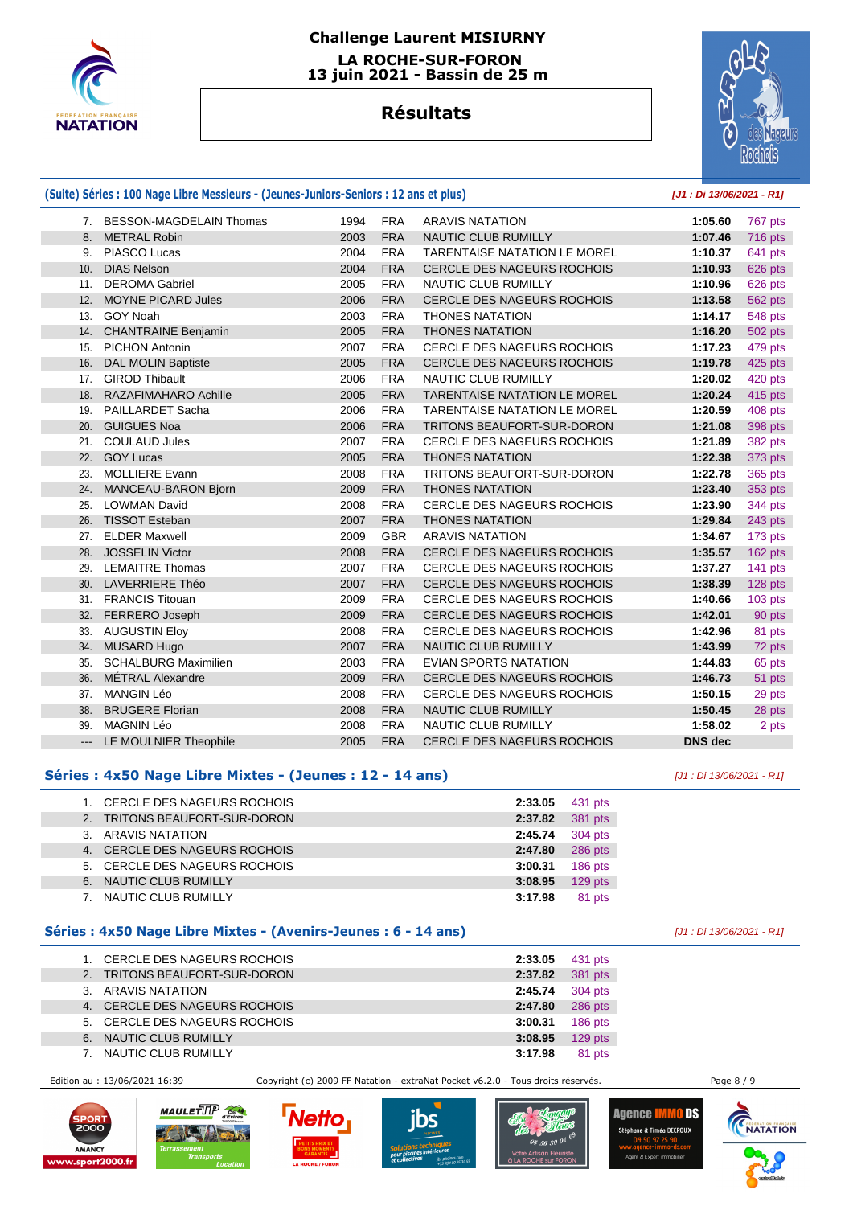

# **Challenge Laurent MISIURNY LA ROCHE-SUR-FORON**

 **13 juin 2021 - Bassin de 25 m** 

# **Résultats**



#### **(Suite) Séries : 100 Nage Libre Messieurs - (Jeunes-Juniors-Seniors : 12 ans et plus) [J1 : Di 13/06/2021 - R1]** 7. BESSON-MAGDELAIN Thomas 1994 FRA ARAVIS NATATION **1:05.60** 767 pts 8. METRAL Robin 2003 FRA NAUTIC CLUB RUMILLY **1:07.46** 716 pts 9. PIASCO Lucas 2004 FRA TARENTAISE NATATION LE MOREL **1:10.37** 641 pts 10. DIAS Nelson 2004 FRA CERCLE DES NAGEURS ROCHOIS **1:10.93** 626 pts 11. DEROMA Gabriel 2005 FRA NAUTIC CLUB RUMILLY **1:10.96** 626 pts 12. MOYNE PICARD Jules 2006 FRA CERCLE DES NAGEURS ROCHOIS **1:13.58** 562 pts 13. GOY Noah 2003 FRA THONES NATATION **1:14.17** 548 pts 14. CHANTRAINE Benjamin 2005 FRA THONES NATATION **1:16.20** 502 pts 15. PICHON Antonin 2007 FRA CERCLE DES NAGEURS ROCHOIS **1:17.23** 479 pts 16. DAL MOLIN Baptiste 2005 FRA CERCLE DES NAGEURS ROCHOIS **1:19.78** 425 pts 17. GIROD Thibault 2006 FRA NAUTIC CLUB RUMILLY **1:20.02** 420 pts 18. RAZAFIMAHARO Achille 2005 FRA TARENTAISE NATATION LE MOREL **1:20.24** 415 pts 19. PAILLARDET Sacha 2006 FRA TARENTAISE NATATION LE MOREL **1:20.59** 408 pts 20. GUIGUES Noa 2006 FRA TRITONS BEAUFORT-SUR-DORON **1:21.08** 398 pts 21. COULAUD Jules 2007 FRA CERCLE DES NAGEURS ROCHOIS **1:21.89** 382 pts 22. GOY Lucas 2005 FRA THONES NATATION **1:22.38** 373 pts 23. MOLLIERE Evann 2008 FRA TRITONS BEAUFORT-SUR-DORON **1:22.78** 365 pts 24. MANCEAU-BARON Bjorn 2009 FRA THONES NATATION **1:23.40** 353 pts 25. LOWMAN David 2008 FRA CERCLE DES NAGEURS ROCHOIS **1:23.90** 344 pts 26. TISSOT Esteban 2007 FRA THONES NATATION **1:29.84** 243 pts 27. ELDER Maxwell 2009 GBR ARAVIS NATATION **1:34.67** 173 pts 28. JOSSELIN Victor 2008 FRA CERCLE DES NAGEURS ROCHOIS **1:35.57** 162 pts 29. LEMAITRE Thomas 2007 FRA CERCLE DES NAGEURS ROCHOIS **1:37.27** 141 pts 30. LAVERRIERE Théo 2007 FRA CERCLE DES NAGEURS ROCHOIS **1:38.39** 128 pts 31. FRANCIS Titouan 2009 FRA CERCLE DES NAGEURS ROCHOIS **1:40.66** 103 pts 32. FERRERO Joseph 2009 FRA CERCLE DES NAGEURS ROCHOIS **1:42.01** 90 pts 33. AUGUSTIN Eloy 2008 FRA CERCLE DES NAGEURS ROCHOIS **1:42.96** 81 pts 34. MUSARD Hugo 2007 FRA NAUTIC CLUB RUMILLY **1:43.99** 72 pts 35. SCHALBURG Maximilien 2003 FRA EVIAN SPORTS NATATION **1:44.83** 65 pts 36. MÉTRAL Alexandre 2009 FRA CERCLE DES NAGEURS ROCHOIS **1:46.73** 51 pts 37. MANGIN Léo 2008 FRA CERCLE DES NAGEURS ROCHOIS **1:50.15** 29 pts 38. BRUGERE Florian 2008 FRA NAUTIC CLUB RUMILLY **1:50.45** 28 pts 39. MAGNIN Léo 2008 FRA NAUTIC CLUB RUMILLY **1:58.02** 2 pts --- LE MOULNIER Theophile 2005 FRA CERCLE DES NAGEURS ROCHOIS **DNS dec**

#### **Séries : 4x50 Nage Libre Mixtes - (Jeunes : 12 - 14 ans)** [J1 : Di 13/06/2021 - R1]

|    | CERCLE DES NAGEURS ROCHOIS    | 2:33.05 | 431 pts   |
|----|-------------------------------|---------|-----------|
| 2. | TRITONS BEAUFORT-SUR-DORON    | 2:37.82 | 381 pts   |
|    | ARAVIS NATATION               | 2:45.74 | 304 pts   |
|    | 4. CERCLE DES NAGEURS ROCHOIS | 2:47.80 | 286 pts   |
|    | 5. CERCLE DES NAGEURS ROCHOIS | 3:00.31 | $186$ pts |
| 6. | NAUTIC CLUB RUMILLY           | 3:08.95 | $129$ pts |
|    | NAUTIC CLUB RUMILLY           | 3:17.98 | 81 pts    |

#### **Séries : 4x50 Nage Libre Mixtes - (Avenirs-Jeunes : 6 - 14 ans)** [J1 : Di 13/06/2021 - R1]

|                | CERCLE DES NAGEURS ROCHOIS    | 2:33.05 | 431 pts |
|----------------|-------------------------------|---------|---------|
| 2 <sub>1</sub> | TRITONS BEAUFORT-SUR-DORON    | 2:37.82 | 381 pts |
|                | 3. ARAVIS NATATION            | 2:45.74 | 304 pts |
| 4.             | CERCLE DES NAGEURS ROCHOIS    | 2:47.80 | 286 pts |
|                | 5. CERCLE DES NAGEURS ROCHOIS | 3:00.31 | 186 pts |
| 6.             | NAUTIC CLUB RUMILLY           | 3:08.95 | 129 pts |
|                | NAUTIC CLUB RUMILLY           | 3:17.98 | 81 pts  |
|                |                               |         |         |

Edition au : 13/06/2021 16:39 Copyright (c) 2009 FF Natation - extraNat Pocket v6.2.0 - Tous droits réservés. Page 8 / 9











Agence <mark>IMMO DS</mark> Stéphane & Timéa DECROU>